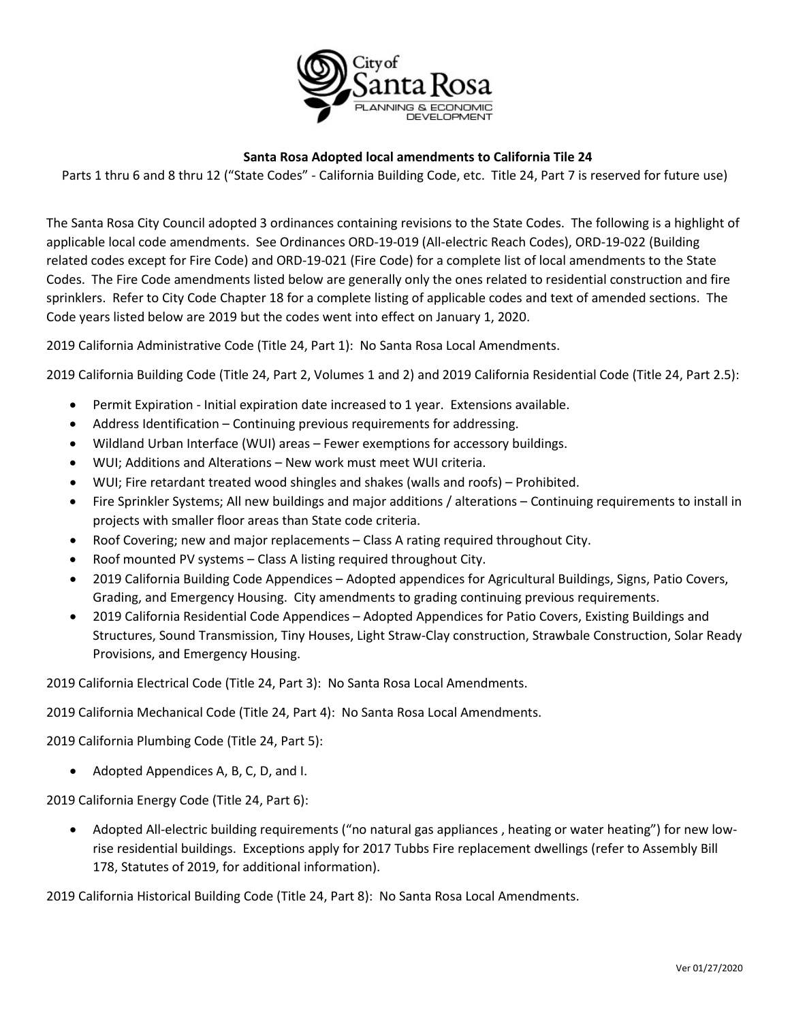

## **Santa Rosa Adopted local amendments to California Tile 24**

Parts 1 thru 6 and 8 thru 12 ("State Codes" - California Building Code, etc. Title 24, Part 7 is reserved for future use)

The Santa Rosa City Council adopted 3 ordinances containing revisions to the State Codes. The following is a highlight of applicable local code amendments. See Ordinances ORD-19-019 (All-electric Reach Codes), ORD-19-022 (Building related codes except for Fire Code) and ORD-19-021 (Fire Code) for a complete list of local amendments to the State Codes. The Fire Code amendments listed below are generally only the ones related to residential construction and fire sprinklers. Refer to City Code Chapter 18 for a complete listing of applicable codes and text of amended sections. The Code years listed below are 2019 but the codes went into effect on January 1, 2020.

2019 California Administrative Code (Title 24, Part 1): No Santa Rosa Local Amendments.

2019 California Building Code (Title 24, Part 2, Volumes 1 and 2) and 2019 California Residential Code (Title 24, Part 2.5):

- Permit Expiration Initial expiration date increased to 1 year. Extensions available.
- Address Identification Continuing previous requirements for addressing.
- Wildland Urban Interface (WUI) areas Fewer exemptions for accessory buildings.
- WUI; Additions and Alterations New work must meet WUI criteria.
- WUI; Fire retardant treated wood shingles and shakes (walls and roofs) Prohibited.
- Fire Sprinkler Systems; All new buildings and major additions / alterations Continuing requirements to install in projects with smaller floor areas than State code criteria.
- Roof Covering; new and major replacements Class A rating required throughout City.
- Roof mounted PV systems Class A listing required throughout City.
- 2019 California Building Code Appendices Adopted appendices for Agricultural Buildings, Signs, Patio Covers, Grading, and Emergency Housing. City amendments to grading continuing previous requirements.
- 2019 California Residential Code Appendices Adopted Appendices for Patio Covers, Existing Buildings and Structures, Sound Transmission, Tiny Houses, Light Straw-Clay construction, Strawbale Construction, Solar Ready Provisions, and Emergency Housing.

2019 California Electrical Code (Title 24, Part 3): No Santa Rosa Local Amendments.

2019 California Mechanical Code (Title 24, Part 4): No Santa Rosa Local Amendments.

2019 California Plumbing Code (Title 24, Part 5):

• Adopted Appendices A, B, C, D, and I.

2019 California Energy Code (Title 24, Part 6):

• Adopted All-electric building requirements ("no natural gas appliances , heating or water heating") for new lowrise residential buildings. Exceptions apply for 2017 Tubbs Fire replacement dwellings (refer to Assembly Bill 178, Statutes of 2019, for additional information).

2019 California Historical Building Code (Title 24, Part 8): No Santa Rosa Local Amendments.